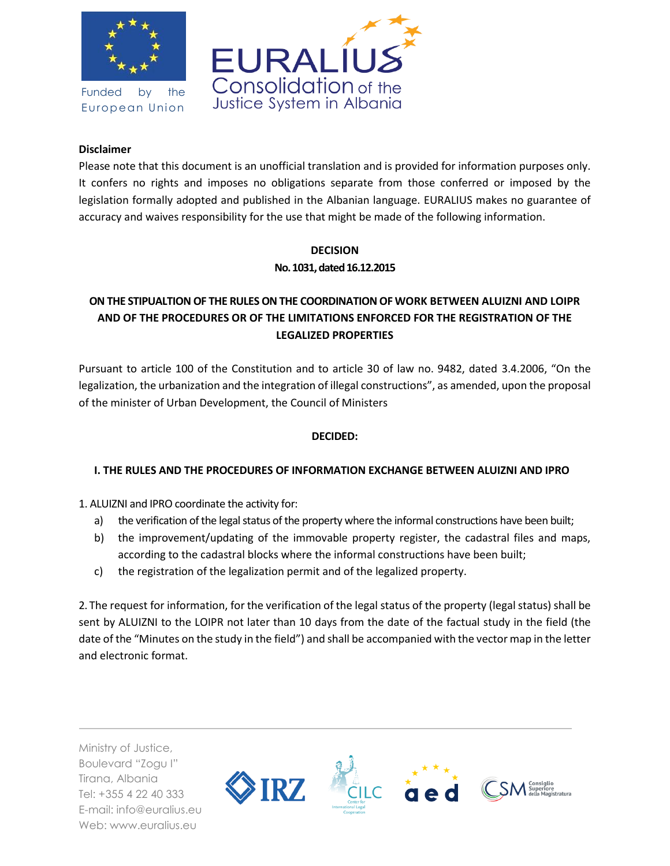

Funded by the European Union



#### **Disclaimer**

Please note that this document is an unofficial translation and is provided for information purposes only. It confers no rights and imposes no obligations separate from those conferred or imposed by the legislation formally adopted and published in the Albanian language. EURALIUS makes no guarantee of accuracy and waives responsibility for the use that might be made of the following information.

# **DECISION No. 1031, dated 16.12.2015**

# **ON THE STIPUALTION OF THE RULES ON THE COORDINATION OF WORK BETWEEN ALUIZNI AND LOIPR AND OF THE PROCEDURES OR OF THE LIMITATIONS ENFORCED FOR THE REGISTRATION OF THE LEGALIZED PROPERTIES**

Pursuant to article 100 of the Constitution and to article 30 of law no. 9482, dated 3.4.2006, "On the legalization, the urbanization and the integration of illegal constructions", as amended, upon the proposal of the minister of Urban Development, the Council of Ministers

## **DECIDED:**

## **I. THE RULES AND THE PROCEDURES OF INFORMATION EXCHANGE BETWEEN ALUIZNI AND IPRO**

1. ALUIZNI and IPRO coordinate the activity for:

- a) the verification of the legal status of the property where the informal constructions have been built;
- b) the improvement/updating of the immovable property register, the cadastral files and maps, according to the cadastral blocks where the informal constructions have been built;
- c) the registration of the legalization permit and of the legalized property.

2. The request for information, for the verification of the legal status of the property (legal status) shall be sent by ALUIZNI to the LOIPR not later than 10 days from the date of the factual study in the field (the date of the "Minutes on the study in the field") and shall be accompanied with the vector map in the letter and electronic format.

Ministry of Justice, Boulevard "Zogu I" Tirana, Albania Tel: +355 4 22 40 333 E-mail: info@euralius.eu Web: www.euralius.eu

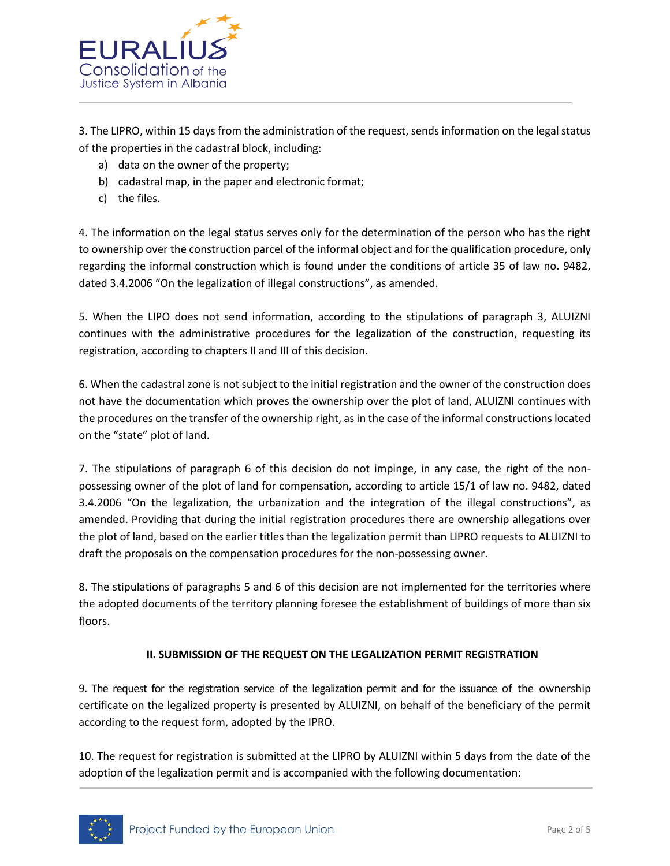

3. The LIPRO, within 15 days from the administration of the request, sends information on the legal status of the properties in the cadastral block, including:

- a) data on the owner of the property;
- b) cadastral map, in the paper and electronic format;
- c) the files.

4. The information on the legal status serves only for the determination of the person who has the right to ownership over the construction parcel of the informal object and for the qualification procedure, only regarding the informal construction which is found under the conditions of article 35 of law no. 9482, dated 3.4.2006 "On the legalization of illegal constructions", as amended.

5. When the LIPO does not send information, according to the stipulations of paragraph 3, ALUIZNI continues with the administrative procedures for the legalization of the construction, requesting its registration, according to chapters II and III of this decision.

6. When the cadastral zone is not subject to the initial registration and the owner of the construction does not have the documentation which proves the ownership over the plot of land, ALUIZNI continues with the procedures on the transfer of the ownership right, as in the case of the informal constructions located on the "state" plot of land.

7. The stipulations of paragraph 6 of this decision do not impinge, in any case, the right of the nonpossessing owner of the plot of land for compensation, according to article 15/1 of law no. 9482, dated 3.4.2006 "On the legalization, the urbanization and the integration of the illegal constructions", as amended. Providing that during the initial registration procedures there are ownership allegations over the plot of land, based on the earlier titles than the legalization permit than LIPRO requests to ALUIZNI to draft the proposals on the compensation procedures for the non-possessing owner.

8. The stipulations of paragraphs 5 and 6 of this decision are not implemented for the territories where the adopted documents of the territory planning foresee the establishment of buildings of more than six floors.

## **II. SUBMISSION OF THE REQUEST ON THE LEGALIZATION PERMIT REGISTRATION**

9. The request for the registration service of the legalization permit and for the issuance of the ownership certificate on the legalized property is presented by ALUIZNI, on behalf of the beneficiary of the permit according to the request form, adopted by the IPRO.

10. The request for registration is submitted at the LIPRO by ALUIZNI within 5 days from the date of the adoption of the legalization permit and is accompanied with the following documentation:

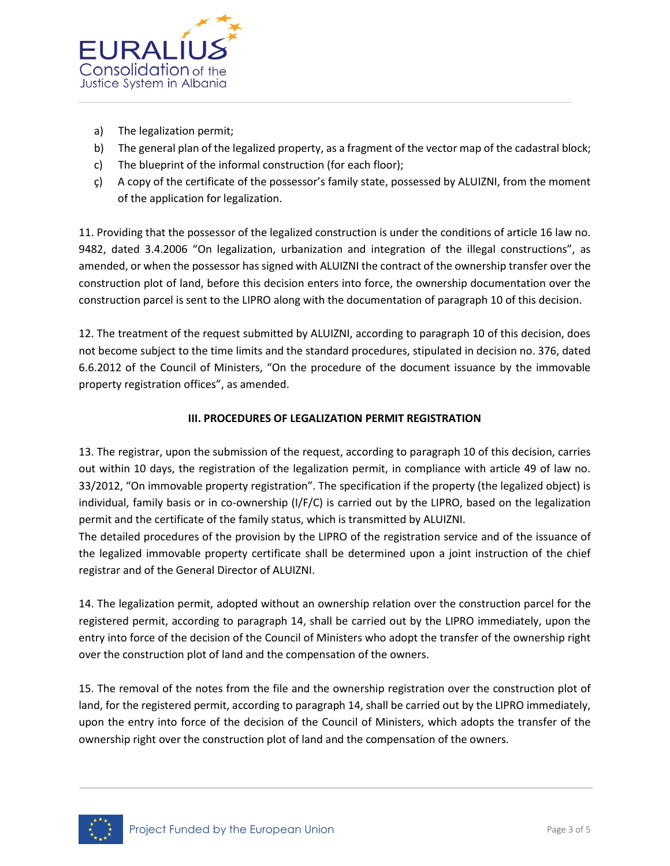

- a) The legalization permit;
- b) The general plan of the legalized property, as a fragment of the vector map of the cadastral block;
- c) The blueprint of the informal construction (for each floor);
- ç) A copy of the certificate of the possessor's family state, possessed by ALUIZNI, from the moment of the application for legalization.

11. Providing that the possessor of the legalized construction is under the conditions of article 16 law no. 9482, dated 3.4.2006 "On legalization, urbanization and integration of the illegal constructions", as amended, or when the possessor has signed with ALUIZNI the contract of the ownership transfer over the construction plot of land, before this decision enters into force, the ownership documentation over the construction parcel is sent to the LIPRO along with the documentation of paragraph 10 of this decision.

12. The treatment of the request submitted by ALUIZNI, according to paragraph 10 of this decision, does not become subject to the time limits and the standard procedures, stipulated in decision no. 376, dated 6.6.2012 of the Council of Ministers, "On the procedure of the document issuance by the immovable property registration offices", as amended.

#### **III. PROCEDURES OF LEGALIZATION PERMIT REGISTRATION**

13. The registrar, upon the submission of the request, according to paragraph 10 of this decision, carries out within 10 days, the registration of the legalization permit, in compliance with article 49 of law no. 33/2012, "On immovable property registration". The specification if the property (the legalized object) is individual, family basis or in co-ownership (I/F/C) is carried out by the LIPRO, based on the legalization permit and the certificate of the family status, which is transmitted by ALUIZNI.

The detailed procedures of the provision by the LIPRO of the registration service and of the issuance of the legalized immovable property certificate shall be determined upon a joint instruction of the chief registrar and of the General Director of ALUIZNI.

14. The legalization permit, adopted without an ownership relation over the construction parcel for the registered permit, according to paragraph 14, shall be carried out by the LIPRO immediately, upon the entry into force of the decision of the Council of Ministers who adopt the transfer of the ownership right over the construction plot of land and the compensation of the owners.

15. The removal of the notes from the file and the ownership registration over the construction plot of land, for the registered permit, according to paragraph 14, shall be carried out by the LIPRO immediately, upon the entry into force of the decision of the Council of Ministers, which adopts the transfer of the ownership right over the construction plot of land and the compensation of the owners.

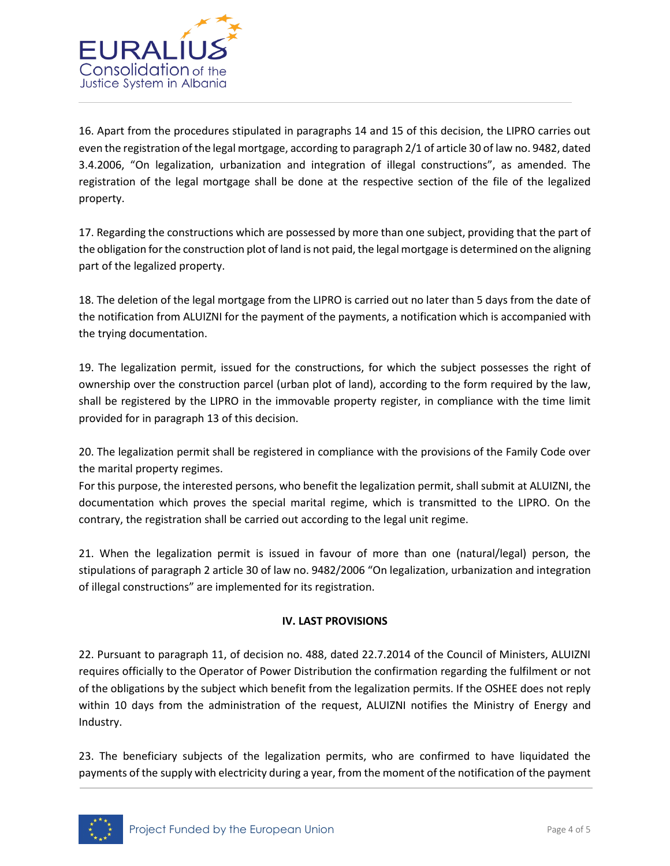

16. Apart from the procedures stipulated in paragraphs 14 and 15 of this decision, the LIPRO carries out even the registration of the legal mortgage, according to paragraph 2/1 of article 30 of law no. 9482, dated 3.4.2006, "On legalization, urbanization and integration of illegal constructions", as amended. The registration of the legal mortgage shall be done at the respective section of the file of the legalized property.

17. Regarding the constructions which are possessed by more than one subject, providing that the part of the obligation for the construction plot of land is not paid, the legal mortgage is determined on the aligning part of the legalized property.

18. The deletion of the legal mortgage from the LIPRO is carried out no later than 5 days from the date of the notification from ALUIZNI for the payment of the payments, a notification which is accompanied with the trying documentation.

19. The legalization permit, issued for the constructions, for which the subject possesses the right of ownership over the construction parcel (urban plot of land), according to the form required by the law, shall be registered by the LIPRO in the immovable property register, in compliance with the time limit provided for in paragraph 13 of this decision.

20. The legalization permit shall be registered in compliance with the provisions of the Family Code over the marital property regimes.

For this purpose, the interested persons, who benefit the legalization permit, shall submit at ALUIZNI, the documentation which proves the special marital regime, which is transmitted to the LIPRO. On the contrary, the registration shall be carried out according to the legal unit regime.

21. When the legalization permit is issued in favour of more than one (natural/legal) person, the stipulations of paragraph 2 article 30 of law no. 9482/2006 "On legalization, urbanization and integration of illegal constructions" are implemented for its registration.

## **IV. LAST PROVISIONS**

22. Pursuant to paragraph 11, of decision no. 488, dated 22.7.2014 of the Council of Ministers, ALUIZNI requires officially to the Operator of Power Distribution the confirmation regarding the fulfilment or not of the obligations by the subject which benefit from the legalization permits. If the OSHEE does not reply within 10 days from the administration of the request, ALUIZNI notifies the Ministry of Energy and Industry.

23. The beneficiary subjects of the legalization permits, who are confirmed to have liquidated the payments of the supply with electricity during a year, from the moment of the notification of the payment